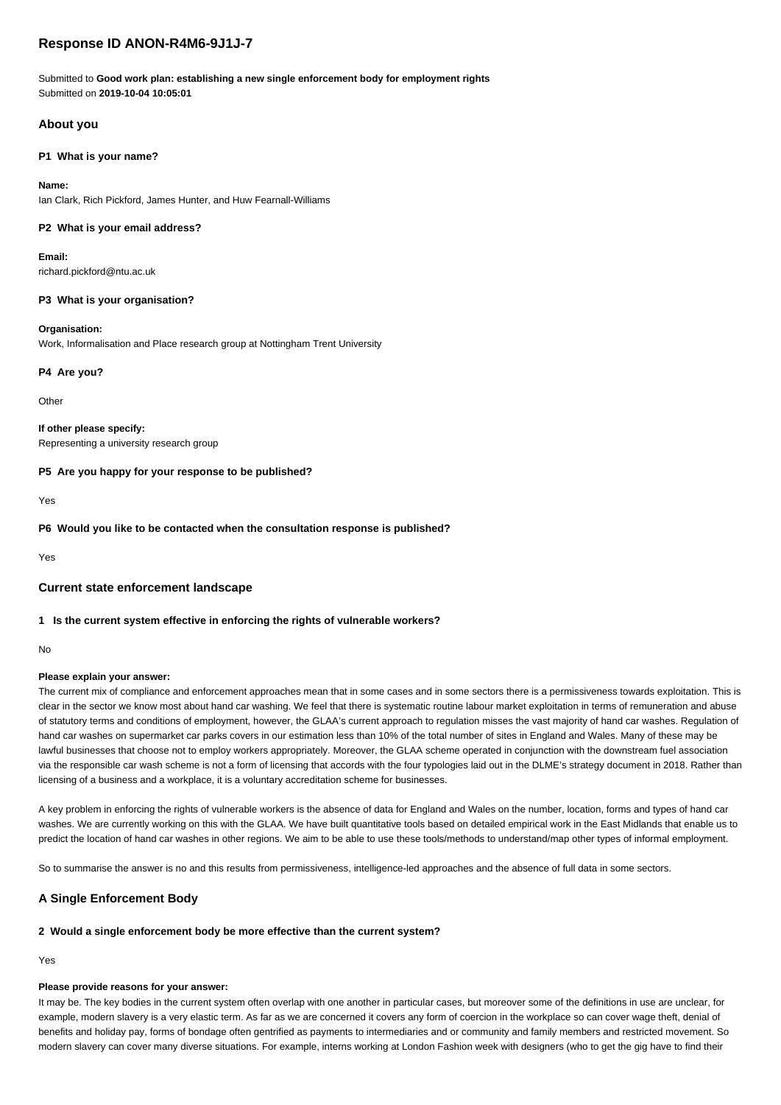# **Response ID ANON-R4M6-9J1J-7**

Submitted to **Good work plan: establishing a new single enforcement body for employment rights** Submitted on **2019-10-04 10:05:01**

# **About you**

## **P1 What is your name?**

# **Name:**

Ian Clark, Rich Pickford, James Hunter, and Huw Fearnall-Williams

## **P2 What is your email address?**

**Email:** richard.pickford@ntu.ac.uk

## **P3 What is your organisation?**

### **Organisation:**

Work, Informalisation and Place research group at Nottingham Trent University

## **P4 Are you?**

**Other** 

**If other please specify:** Representing a university research group

### **P5 Are you happy for your response to be published?**

Yes

**P6 Would you like to be contacted when the consultation response is published?**

Yes

## **Current state enforcement landscape**

## **1 Is the current system effective in enforcing the rights of vulnerable workers?**

No

# **Please explain your answer:**

The current mix of compliance and enforcement approaches mean that in some cases and in some sectors there is a permissiveness towards exploitation. This is clear in the sector we know most about hand car washing. We feel that there is systematic routine labour market exploitation in terms of remuneration and abuse of statutory terms and conditions of employment, however, the GLAA's current approach to regulation misses the vast majority of hand car washes. Regulation of hand car washes on supermarket car parks covers in our estimation less than 10% of the total number of sites in England and Wales. Many of these may be lawful businesses that choose not to employ workers appropriately. Moreover, the GLAA scheme operated in conjunction with the downstream fuel association via the responsible car wash scheme is not a form of licensing that accords with the four typologies laid out in the DLME's strategy document in 2018. Rather than licensing of a business and a workplace, it is a voluntary accreditation scheme for businesses.

A key problem in enforcing the rights of vulnerable workers is the absence of data for England and Wales on the number, location, forms and types of hand car washes. We are currently working on this with the GLAA. We have built quantitative tools based on detailed empirical work in the East Midlands that enable us to predict the location of hand car washes in other regions. We aim to be able to use these tools/methods to understand/map other types of informal employment.

So to summarise the answer is no and this results from permissiveness, intelligence-led approaches and the absence of full data in some sectors.

# **A Single Enforcement Body**

# **2 Would a single enforcement body be more effective than the current system?**

Yes

## **Please provide reasons for your answer:**

It may be. The key bodies in the current system often overlap with one another in particular cases, but moreover some of the definitions in use are unclear, for example, modern slavery is a very elastic term. As far as we are concerned it covers any form of coercion in the workplace so can cover wage theft, denial of benefits and holiday pay, forms of bondage often gentrified as payments to intermediaries and or community and family members and restricted movement. So modern slavery can cover many diverse situations. For example, interns working at London Fashion week with designers (who to get the gig have to find their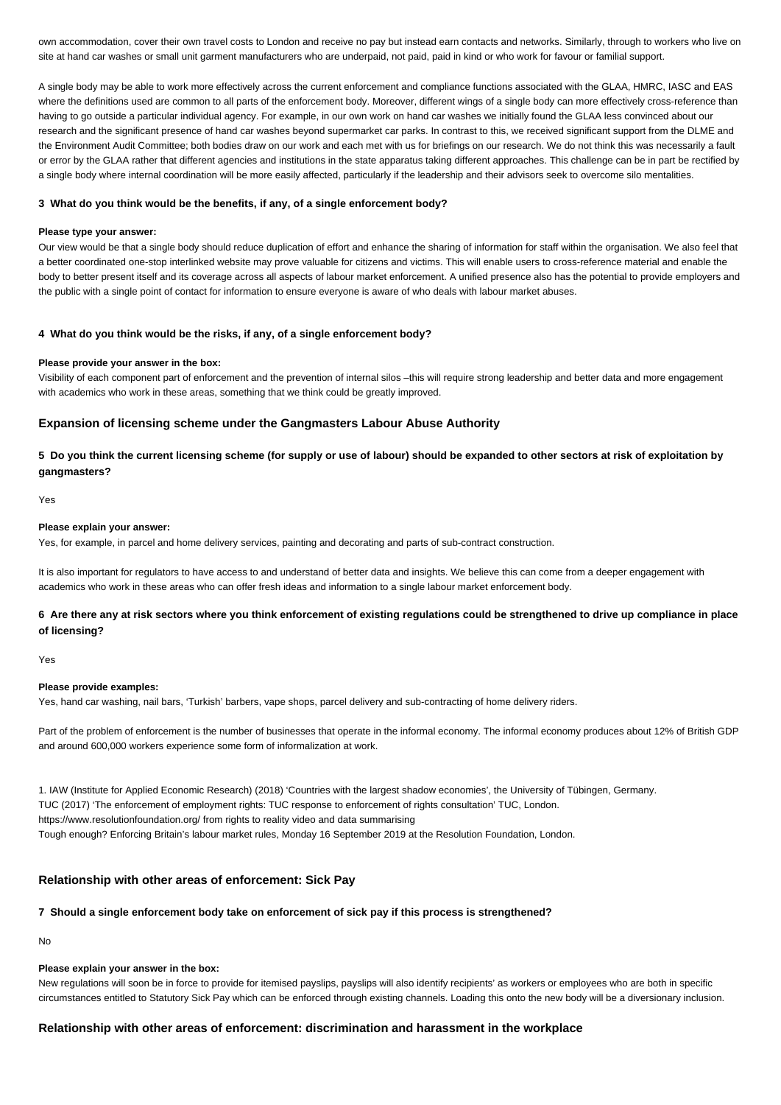own accommodation, cover their own travel costs to London and receive no pay but instead earn contacts and networks. Similarly, through to workers who live on site at hand car washes or small unit garment manufacturers who are underpaid, not paid, paid in kind or who work for favour or familial support.

A single body may be able to work more effectively across the current enforcement and compliance functions associated with the GLAA, HMRC, IASC and EAS where the definitions used are common to all parts of the enforcement body. Moreover, different wings of a single body can more effectively cross-reference than having to go outside a particular individual agency. For example, in our own work on hand car washes we initially found the GLAA less convinced about our research and the significant presence of hand car washes beyond supermarket car parks. In contrast to this, we received significant support from the DLME and the Environment Audit Committee; both bodies draw on our work and each met with us for briefings on our research. We do not think this was necessarily a fault or error by the GLAA rather that different agencies and institutions in the state apparatus taking different approaches. This challenge can be in part be rectified by a single body where internal coordination will be more easily affected, particularly if the leadership and their advisors seek to overcome silo mentalities.

#### **3 What do you think would be the benefits, if any, of a single enforcement body?**

#### **Please type your answer:**

Our view would be that a single body should reduce duplication of effort and enhance the sharing of information for staff within the organisation. We also feel that a better coordinated one-stop interlinked website may prove valuable for citizens and victims. This will enable users to cross-reference material and enable the body to better present itself and its coverage across all aspects of labour market enforcement. A unified presence also has the potential to provide employers and the public with a single point of contact for information to ensure everyone is aware of who deals with labour market abuses.

#### **4 What do you think would be the risks, if any, of a single enforcement body?**

#### **Please provide your answer in the box:**

Visibility of each component part of enforcement and the prevention of internal silos –this will require strong leadership and better data and more engagement with academics who work in these areas, something that we think could be greatly improved.

## **Expansion of licensing scheme under the Gangmasters Labour Abuse Authority**

**5 Do you think the current licensing scheme (for supply or use of labour) should be expanded to other sectors at risk of exploitation by gangmasters?**

Yes

## **Please explain your answer:**

Yes, for example, in parcel and home delivery services, painting and decorating and parts of sub-contract construction.

It is also important for regulators to have access to and understand of better data and insights. We believe this can come from a deeper engagement with academics who work in these areas who can offer fresh ideas and information to a single labour market enforcement body.

# **6 Are there any at risk sectors where you think enforcement of existing regulations could be strengthened to drive up compliance in place of licensing?**

Yes

#### **Please provide examples:**

Yes, hand car washing, nail bars, 'Turkish' barbers, vape shops, parcel delivery and sub-contracting of home delivery riders.

Part of the problem of enforcement is the number of businesses that operate in the informal economy. The informal economy produces about 12% of British GDP and around 600,000 workers experience some form of informalization at work.

1. IAW (Institute for Applied Economic Research) (2018) 'Countries with the largest shadow economies', the University of Tübingen, Germany. TUC (2017) 'The enforcement of employment rights: TUC response to enforcement of rights consultation' TUC, London. https://www.resolutionfoundation.org/ from rights to reality video and data summarising Tough enough? Enforcing Britain's labour market rules, Monday 16 September 2019 at the Resolution Foundation, London.

# **Relationship with other areas of enforcement: Sick Pay**

## **7 Should a single enforcement body take on enforcement of sick pay if this process is strengthened?**

No

## **Please explain your answer in the box:**

New regulations will soon be in force to provide for itemised payslips, payslips will also identify recipients' as workers or employees who are both in specific circumstances entitled to Statutory Sick Pay which can be enforced through existing channels. Loading this onto the new body will be a diversionary inclusion.

## **Relationship with other areas of enforcement: discrimination and harassment in the workplace**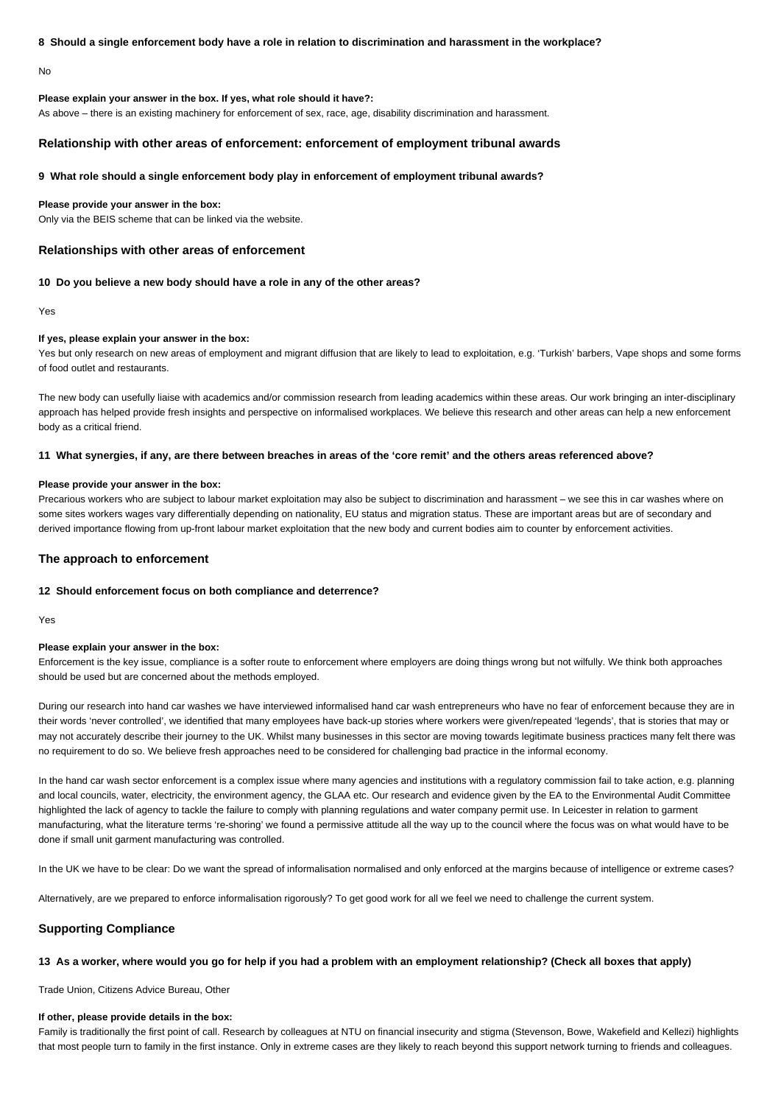### **8 Should a single enforcement body have a role in relation to discrimination and harassment in the workplace?**

No

## **Please explain your answer in the box. If yes, what role should it have?:**

As above – there is an existing machinery for enforcement of sex, race, age, disability discrimination and harassment.

## **Relationship with other areas of enforcement: enforcement of employment tribunal awards**

#### **9 What role should a single enforcement body play in enforcement of employment tribunal awards?**

#### **Please provide your answer in the box:**

Only via the BEIS scheme that can be linked via the website.

## **Relationships with other areas of enforcement**

#### **10 Do you believe a new body should have a role in any of the other areas?**

Yes

### **If yes, please explain your answer in the box:**

Yes but only research on new areas of employment and migrant diffusion that are likely to lead to exploitation, e.g. 'Turkish' barbers, Vape shops and some forms of food outlet and restaurants.

The new body can usefully liaise with academics and/or commission research from leading academics within these areas. Our work bringing an inter-disciplinary approach has helped provide fresh insights and perspective on informalised workplaces. We believe this research and other areas can help a new enforcement body as a critical friend.

#### **11 What synergies, if any, are there between breaches in areas of the 'core remit' and the others areas referenced above?**

#### **Please provide your answer in the box:**

Precarious workers who are subject to labour market exploitation may also be subject to discrimination and harassment – we see this in car washes where on some sites workers wages vary differentially depending on nationality, EU status and migration status. These are important areas but are of secondary and derived importance flowing from up-front labour market exploitation that the new body and current bodies aim to counter by enforcement activities.

#### **The approach to enforcement**

#### **12 Should enforcement focus on both compliance and deterrence?**

Yes

#### **Please explain your answer in the box:**

Enforcement is the key issue, compliance is a softer route to enforcement where employers are doing things wrong but not wilfully. We think both approaches should be used but are concerned about the methods employed.

During our research into hand car washes we have interviewed informalised hand car wash entrepreneurs who have no fear of enforcement because they are in their words 'never controlled', we identified that many employees have back-up stories where workers were given/repeated 'legends', that is stories that may or may not accurately describe their journey to the UK. Whilst many businesses in this sector are moving towards legitimate business practices many felt there was no requirement to do so. We believe fresh approaches need to be considered for challenging bad practice in the informal economy.

In the hand car wash sector enforcement is a complex issue where many agencies and institutions with a regulatory commission fail to take action, e.g. planning and local councils, water, electricity, the environment agency, the GLAA etc. Our research and evidence given by the EA to the Environmental Audit Committee highlighted the lack of agency to tackle the failure to comply with planning regulations and water company permit use. In Leicester in relation to garment manufacturing, what the literature terms 're-shoring' we found a permissive attitude all the way up to the council where the focus was on what would have to be done if small unit garment manufacturing was controlled.

In the UK we have to be clear: Do we want the spread of informalisation normalised and only enforced at the margins because of intelligence or extreme cases?

Alternatively, are we prepared to enforce informalisation rigorously? To get good work for all we feel we need to challenge the current system.

## **Supporting Compliance**

#### **13 As a worker, where would you go for help if you had a problem with an employment relationship? (Check all boxes that apply)**

Trade Union, Citizens Advice Bureau, Other

#### **If other, please provide details in the box:**

Family is traditionally the first point of call. Research by colleagues at NTU on financial insecurity and stigma (Stevenson, Bowe, Wakefield and Kellezi) highlights that most people turn to family in the first instance. Only in extreme cases are they likely to reach beyond this support network turning to friends and colleagues.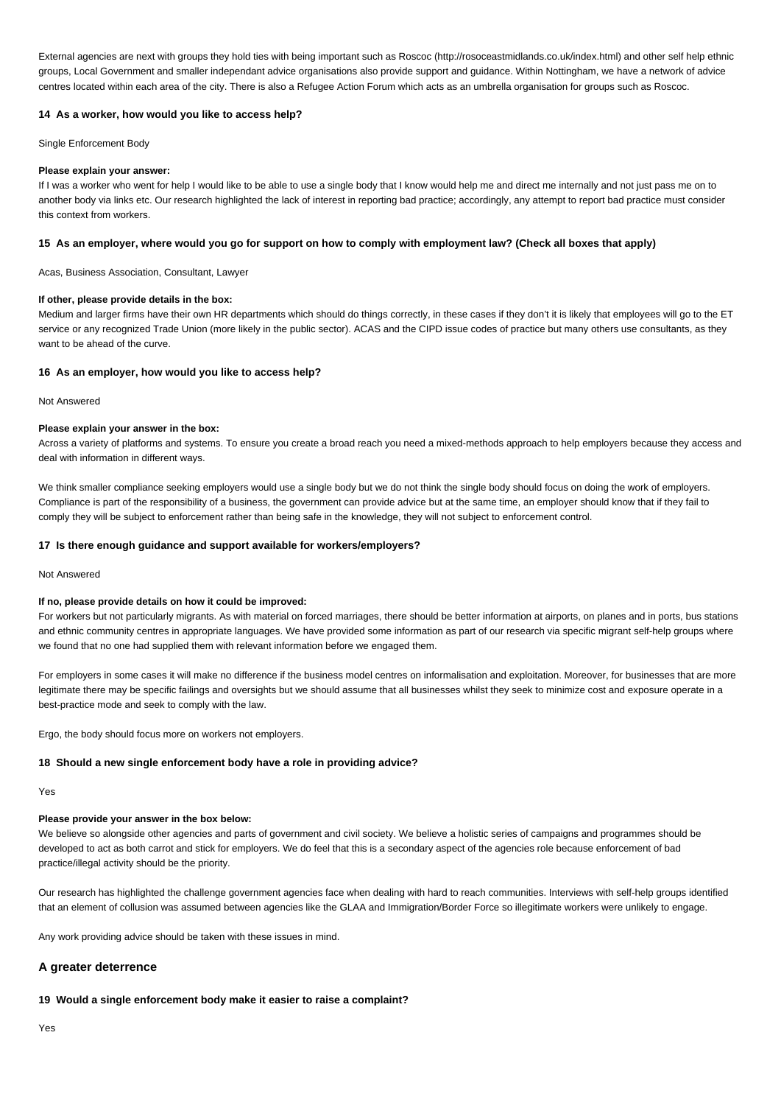External agencies are next with groups they hold ties with being important such as Roscoc (http://rosoceastmidlands.co.uk/index.html) and other self help ethnic groups, Local Government and smaller independant advice organisations also provide support and guidance. Within Nottingham, we have a network of advice centres located within each area of the city. There is also a Refugee Action Forum which acts as an umbrella organisation for groups such as Roscoc.

## **14 As a worker, how would you like to access help?**

Single Enforcement Body

### **Please explain your answer:**

If I was a worker who went for help I would like to be able to use a single body that I know would help me and direct me internally and not just pass me on to another body via links etc. Our research highlighted the lack of interest in reporting bad practice; accordingly, any attempt to report bad practice must consider this context from workers.

## **15 As an employer, where would you go for support on how to comply with employment law? (Check all boxes that apply)**

Acas, Business Association, Consultant, Lawyer

### **If other, please provide details in the box:**

Medium and larger firms have their own HR departments which should do things correctly, in these cases if they don't it is likely that employees will go to the ET service or any recognized Trade Union (more likely in the public sector). ACAS and the CIPD issue codes of practice but many others use consultants, as they want to be ahead of the curve.

## **16 As an employer, how would you like to access help?**

Not Answered

### **Please explain your answer in the box:**

Across a variety of platforms and systems. To ensure you create a broad reach you need a mixed-methods approach to help employers because they access and deal with information in different ways.

We think smaller compliance seeking employers would use a single body but we do not think the single body should focus on doing the work of employers. Compliance is part of the responsibility of a business, the government can provide advice but at the same time, an employer should know that if they fail to comply they will be subject to enforcement rather than being safe in the knowledge, they will not subject to enforcement control.

### **17 Is there enough guidance and support available for workers/employers?**

Not Answered

## **If no, please provide details on how it could be improved:**

For workers but not particularly migrants. As with material on forced marriages, there should be better information at airports, on planes and in ports, bus stations and ethnic community centres in appropriate languages. We have provided some information as part of our research via specific migrant self-help groups where we found that no one had supplied them with relevant information before we engaged them.

For employers in some cases it will make no difference if the business model centres on informalisation and exploitation. Moreover, for businesses that are more legitimate there may be specific failings and oversights but we should assume that all businesses whilst they seek to minimize cost and exposure operate in a best-practice mode and seek to comply with the law.

Ergo, the body should focus more on workers not employers.

### **18 Should a new single enforcement body have a role in providing advice?**

Yes

# **Please provide your answer in the box below:**

We believe so alongside other agencies and parts of government and civil society. We believe a holistic series of campaigns and programmes should be developed to act as both carrot and stick for employers. We do feel that this is a secondary aspect of the agencies role because enforcement of bad practice/illegal activity should be the priority.

Our research has highlighted the challenge government agencies face when dealing with hard to reach communities. Interviews with self-help groups identified that an element of collusion was assumed between agencies like the GLAA and Immigration/Border Force so illegitimate workers were unlikely to engage.

Any work providing advice should be taken with these issues in mind.

# **A greater deterrence**

# **19 Would a single enforcement body make it easier to raise a complaint?**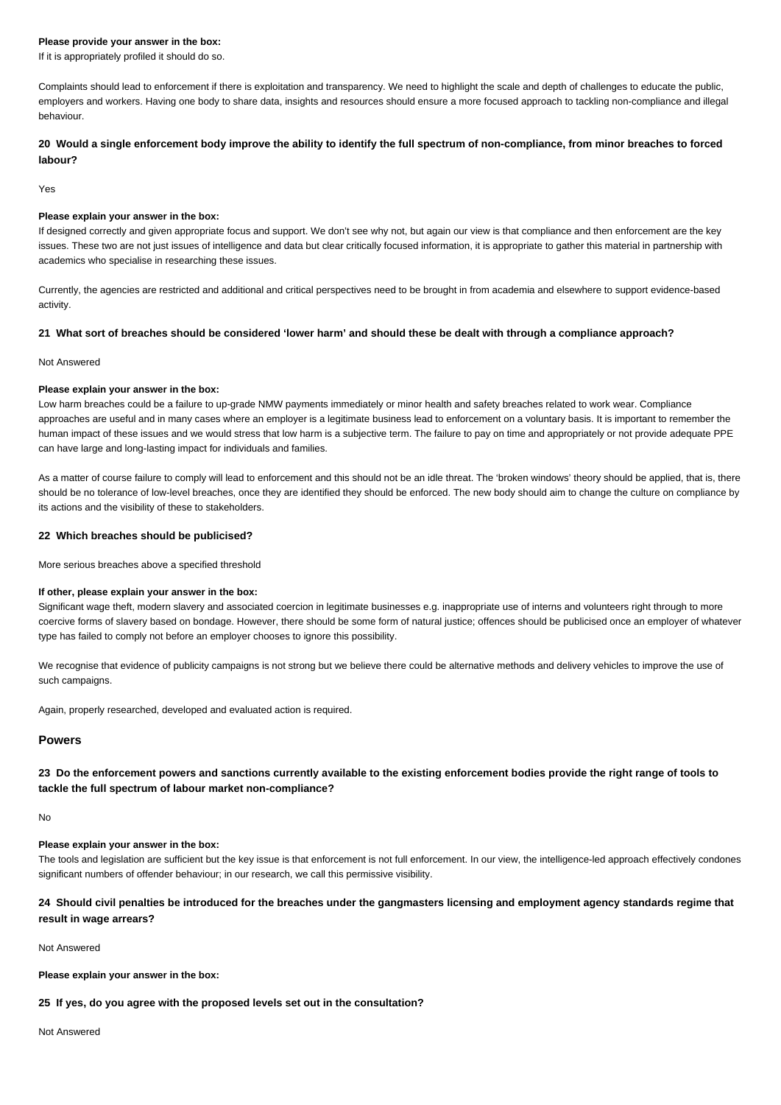### **Please provide your answer in the box:**

If it is appropriately profiled it should do so.

Complaints should lead to enforcement if there is exploitation and transparency. We need to highlight the scale and depth of challenges to educate the public, employers and workers. Having one body to share data, insights and resources should ensure a more focused approach to tackling non-compliance and illegal behaviour.

**20 Would a single enforcement body improve the ability to identify the full spectrum of non-compliance, from minor breaches to forced labour?**

Yes

## **Please explain your answer in the box:**

If designed correctly and given appropriate focus and support. We don't see why not, but again our view is that compliance and then enforcement are the key issues. These two are not just issues of intelligence and data but clear critically focused information, it is appropriate to gather this material in partnership with academics who specialise in researching these issues.

Currently, the agencies are restricted and additional and critical perspectives need to be brought in from academia and elsewhere to support evidence-based activity.

## **21 What sort of breaches should be considered 'lower harm' and should these be dealt with through a compliance approach?**

### Not Answered

### **Please explain your answer in the box:**

Low harm breaches could be a failure to up-grade NMW payments immediately or minor health and safety breaches related to work wear. Compliance approaches are useful and in many cases where an employer is a legitimate business lead to enforcement on a voluntary basis. It is important to remember the human impact of these issues and we would stress that low harm is a subjective term. The failure to pay on time and appropriately or not provide adequate PPE can have large and long-lasting impact for individuals and families.

As a matter of course failure to comply will lead to enforcement and this should not be an idle threat. The 'broken windows' theory should be applied, that is, there should be no tolerance of low-level breaches, once they are identified they should be enforced. The new body should aim to change the culture on compliance by its actions and the visibility of these to stakeholders.

## **22 Which breaches should be publicised?**

More serious breaches above a specified threshold

#### **If other, please explain your answer in the box:**

Significant wage theft, modern slavery and associated coercion in legitimate businesses e.g. inappropriate use of interns and volunteers right through to more coercive forms of slavery based on bondage. However, there should be some form of natural justice; offences should be publicised once an employer of whatever type has failed to comply not before an employer chooses to ignore this possibility.

We recognise that evidence of publicity campaigns is not strong but we believe there could be alternative methods and delivery vehicles to improve the use of such campaigns.

Again, properly researched, developed and evaluated action is required.

# **Powers**

# **23 Do the enforcement powers and sanctions currently available to the existing enforcement bodies provide the right range of tools to tackle the full spectrum of labour market non-compliance?**

No

### **Please explain your answer in the box:**

The tools and legislation are sufficient but the key issue is that enforcement is not full enforcement. In our view, the intelligence-led approach effectively condones significant numbers of offender behaviour; in our research, we call this permissive visibility.

# **24 Should civil penalties be introduced for the breaches under the gangmasters licensing and employment agency standards regime that result in wage arrears?**

#### Not Answered

**Please explain your answer in the box:**

## **25 If yes, do you agree with the proposed levels set out in the consultation?**

Not Answered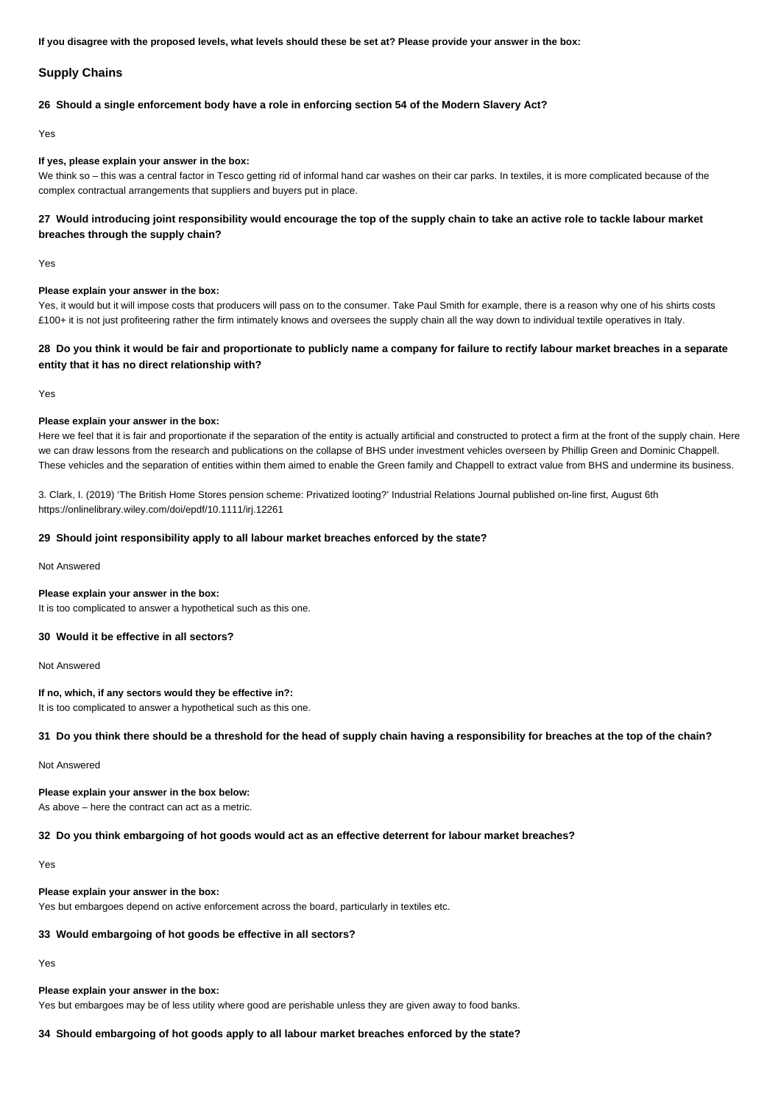**If you disagree with the proposed levels, what levels should these be set at? Please provide your answer in the box:**

## **Supply Chains**

#### **26 Should a single enforcement body have a role in enforcing section 54 of the Modern Slavery Act?**

Yes

#### **If yes, please explain your answer in the box:**

We think so – this was a central factor in Tesco getting rid of informal hand car washes on their car parks. In textiles, it is more complicated because of the complex contractual arrangements that suppliers and buyers put in place.

# **27 Would introducing joint responsibility would encourage the top of the supply chain to take an active role to tackle labour market breaches through the supply chain?**

Yes

#### **Please explain your answer in the box:**

Yes, it would but it will impose costs that producers will pass on to the consumer. Take Paul Smith for example, there is a reason why one of his shirts costs £100+ it is not just profiteering rather the firm intimately knows and oversees the supply chain all the way down to individual textile operatives in Italy.

# **28 Do you think it would be fair and proportionate to publicly name a company for failure to rectify labour market breaches in a separate entity that it has no direct relationship with?**

Yes

### **Please explain your answer in the box:**

Here we feel that it is fair and proportionate if the separation of the entity is actually artificial and constructed to protect a firm at the front of the supply chain. Here we can draw lessons from the research and publications on the collapse of BHS under investment vehicles overseen by Phillip Green and Dominic Chappell. These vehicles and the separation of entities within them aimed to enable the Green family and Chappell to extract value from BHS and undermine its business.

3. Clark, I. (2019) 'The British Home Stores pension scheme: Privatized looting?' Industrial Relations Journal published on-line first, August 6th https://onlinelibrary.wiley.com/doi/epdf/10.1111/irj.12261

## **29 Should joint responsibility apply to all labour market breaches enforced by the state?**

Not Answered

#### **Please explain your answer in the box:**

It is too complicated to answer a hypothetical such as this one.

# **30 Would it be effective in all sectors?**

Not Answered

#### **If no, which, if any sectors would they be effective in?:**

It is too complicated to answer a hypothetical such as this one.

#### **31 Do you think there should be a threshold for the head of supply chain having a responsibility for breaches at the top of the chain?**

Not Answered

# **Please explain your answer in the box below:**

As above – here the contract can act as a metric.

## **32 Do you think embargoing of hot goods would act as an effective deterrent for labour market breaches?**

Yes

#### **Please explain your answer in the box:**

Yes but embargoes depend on active enforcement across the board, particularly in textiles etc.

## **33 Would embargoing of hot goods be effective in all sectors?**

Yes

# **Please explain your answer in the box:**

Yes but embargoes may be of less utility where good are perishable unless they are given away to food banks.

# **34 Should embargoing of hot goods apply to all labour market breaches enforced by the state?**